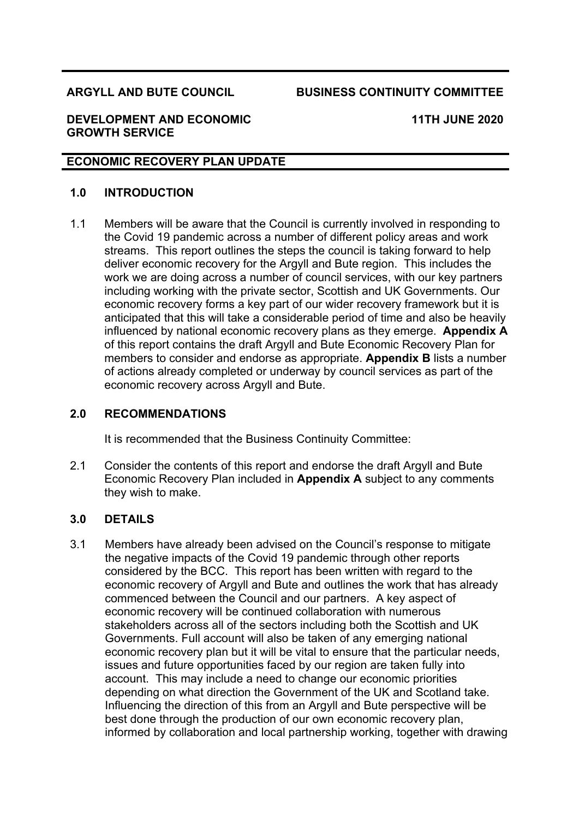## **ARGYLL AND BUTE COUNCIL BUSINESS CONTINUITY COMMITTEE**

## **DEVELOPMENT AND ECONOMIC GROWTH SERVICE**

**11TH JUNE 2020**

## **ECONOMIC RECOVERY PLAN UPDATE**

## **1.0 INTRODUCTION**

1.1 Members will be aware that the Council is currently involved in responding to the Covid 19 pandemic across a number of different policy areas and work streams. This report outlines the steps the council is taking forward to help deliver economic recovery for the Argyll and Bute region. This includes the work we are doing across a number of council services, with our key partners including working with the private sector, Scottish and UK Governments. Our economic recovery forms a key part of our wider recovery framework but it is anticipated that this will take a considerable period of time and also be heavily influenced by national economic recovery plans as they emerge. **Appendix A** of this report contains the draft Argyll and Bute Economic Recovery Plan for members to consider and endorse as appropriate. **Appendix B** lists a number of actions already completed or underway by council services as part of the economic recovery across Argyll and Bute.

## **2.0 RECOMMENDATIONS**

It is recommended that the Business Continuity Committee:

2.1 Consider the contents of this report and endorse the draft Argyll and Bute Economic Recovery Plan included in **Appendix A** subject to any comments they wish to make.

### **3.0 DETAILS**

3.1 Members have already been advised on the Council's response to mitigate the negative impacts of the Covid 19 pandemic through other reports considered by the BCC. This report has been written with regard to the economic recovery of Argyll and Bute and outlines the work that has already commenced between the Council and our partners. A key aspect of economic recovery will be continued collaboration with numerous stakeholders across all of the sectors including both the Scottish and UK Governments. Full account will also be taken of any emerging national economic recovery plan but it will be vital to ensure that the particular needs, issues and future opportunities faced by our region are taken fully into account. This may include a need to change our economic priorities depending on what direction the Government of the UK and Scotland take. Influencing the direction of this from an Argyll and Bute perspective will be best done through the production of our own economic recovery plan, informed by collaboration and local partnership working, together with drawing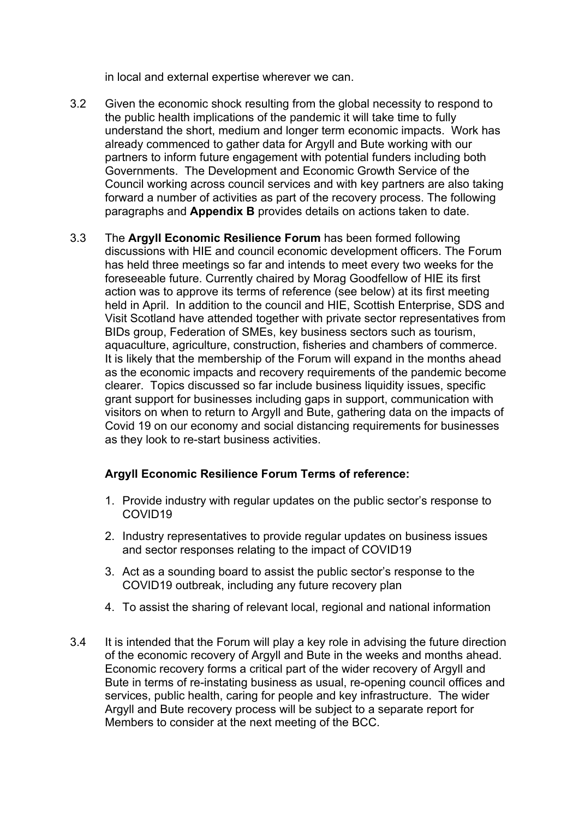in local and external expertise wherever we can.

- 3.2 Given the economic shock resulting from the global necessity to respond to the public health implications of the pandemic it will take time to fully understand the short, medium and longer term economic impacts. Work has already commenced to gather data for Argyll and Bute working with our partners to inform future engagement with potential funders including both Governments. The Development and Economic Growth Service of the Council working across council services and with key partners are also taking forward a number of activities as part of the recovery process. The following paragraphs and **Appendix B** provides details on actions taken to date.
- 3.3 The **Argyll Economic Resilience Forum** has been formed following discussions with HIE and council economic development officers. The Forum has held three meetings so far and intends to meet every two weeks for the foreseeable future. Currently chaired by Morag Goodfellow of HIE its first action was to approve its terms of reference (see below) at its first meeting held in April. In addition to the council and HIE, Scottish Enterprise, SDS and Visit Scotland have attended together with private sector representatives from BIDs group, Federation of SMEs, key business sectors such as tourism, aquaculture, agriculture, construction, fisheries and chambers of commerce. It is likely that the membership of the Forum will expand in the months ahead as the economic impacts and recovery requirements of the pandemic become clearer. Topics discussed so far include business liquidity issues, specific grant support for businesses including gaps in support, communication with visitors on when to return to Argyll and Bute, gathering data on the impacts of Covid 19 on our economy and social distancing requirements for businesses as they look to re-start business activities.

# **Argyll Economic Resilience Forum Terms of reference:**

- 1. Provide industry with regular updates on the public sector's response to COVID19
- 2. Industry representatives to provide regular updates on business issues and sector responses relating to the impact of COVID19
- 3. Act as a sounding board to assist the public sector's response to the COVID19 outbreak, including any future recovery plan
- 4. To assist the sharing of relevant local, regional and national information
- 3.4 It is intended that the Forum will play a key role in advising the future direction of the economic recovery of Argyll and Bute in the weeks and months ahead. Economic recovery forms a critical part of the wider recovery of Argyll and Bute in terms of re-instating business as usual, re-opening council offices and services, public health, caring for people and key infrastructure. The wider Argyll and Bute recovery process will be subject to a separate report for Members to consider at the next meeting of the BCC.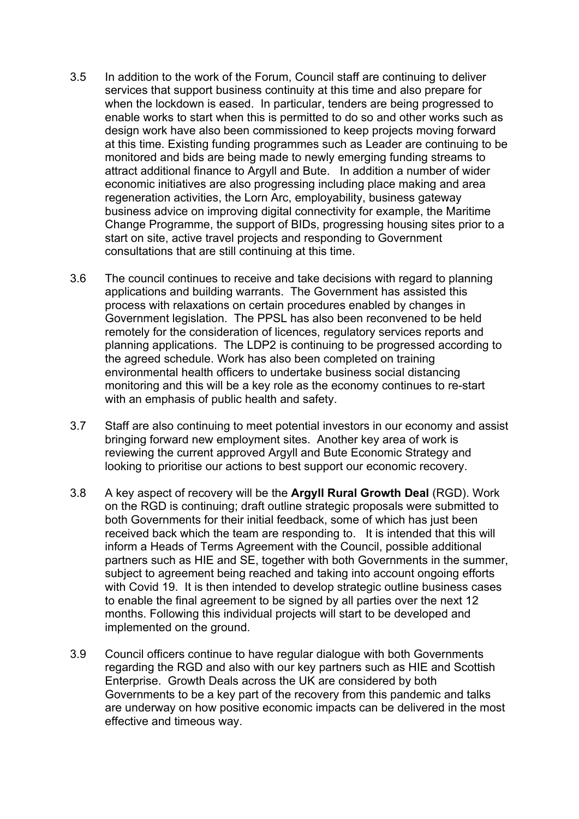- 3.5 In addition to the work of the Forum, Council staff are continuing to deliver services that support business continuity at this time and also prepare for when the lockdown is eased. In particular, tenders are being progressed to enable works to start when this is permitted to do so and other works such as design work have also been commissioned to keep projects moving forward at this time. Existing funding programmes such as Leader are continuing to be monitored and bids are being made to newly emerging funding streams to attract additional finance to Argyll and Bute. In addition a number of wider economic initiatives are also progressing including place making and area regeneration activities, the Lorn Arc, employability, business gateway business advice on improving digital connectivity for example, the Maritime Change Programme, the support of BIDs, progressing housing sites prior to a start on site, active travel projects and responding to Government consultations that are still continuing at this time.
- 3.6 The council continues to receive and take decisions with regard to planning applications and building warrants. The Government has assisted this process with relaxations on certain procedures enabled by changes in Government legislation. The PPSL has also been reconvened to be held remotely for the consideration of licences, regulatory services reports and planning applications. The LDP2 is continuing to be progressed according to the agreed schedule. Work has also been completed on training environmental health officers to undertake business social distancing monitoring and this will be a key role as the economy continues to re-start with an emphasis of public health and safety.
- 3.7 Staff are also continuing to meet potential investors in our economy and assist bringing forward new employment sites. Another key area of work is reviewing the current approved Argyll and Bute Economic Strategy and looking to prioritise our actions to best support our economic recovery.
- 3.8 A key aspect of recovery will be the **Argyll Rural Growth Deal** (RGD). Work on the RGD is continuing; draft outline strategic proposals were submitted to both Governments for their initial feedback, some of which has just been received back which the team are responding to. It is intended that this will inform a Heads of Terms Agreement with the Council, possible additional partners such as HIE and SE, together with both Governments in the summer, subject to agreement being reached and taking into account ongoing efforts with Covid 19. It is then intended to develop strategic outline business cases to enable the final agreement to be signed by all parties over the next 12 months. Following this individual projects will start to be developed and implemented on the ground.
- 3.9 Council officers continue to have regular dialogue with both Governments regarding the RGD and also with our key partners such as HIE and Scottish Enterprise. Growth Deals across the UK are considered by both Governments to be a key part of the recovery from this pandemic and talks are underway on how positive economic impacts can be delivered in the most effective and timeous way.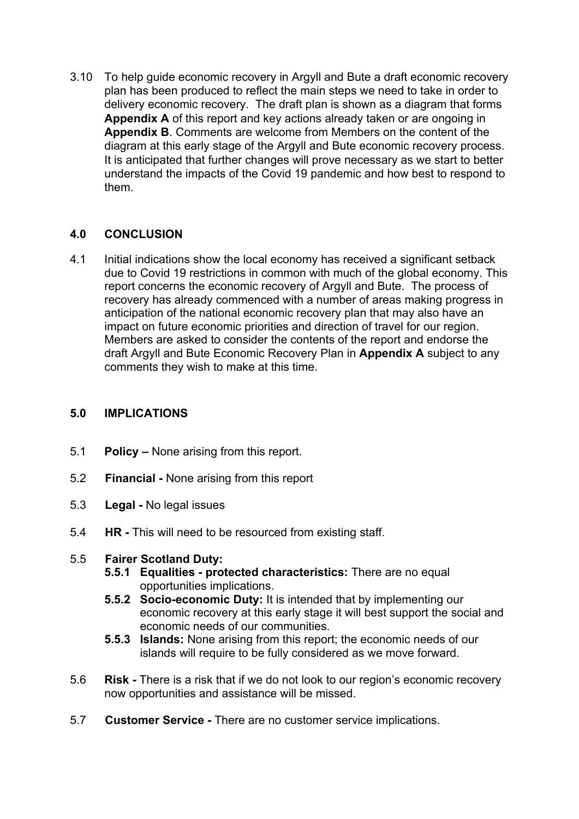3.10 To help guide economic recovery in Argyll and Bute a draft economic recovery plan has been produced to reflect the main steps we need to take in order to delivery economic recovery. The draft plan is shown as a diagram that forms **Appendix A** of this report and key actions already taken or are ongoing in **Appendix B**. Comments are welcome from Members on the content of the diagram at this early stage of the Argyll and Bute economic recovery process. It is anticipated that further changes will prove necessary as we start to better understand the impacts of the Covid 19 pandemic and how best to respond to them.

# **4.0 CONCLUSION**

4.1 Initial indications show the local economy has received a significant setback due to Covid 19 restrictions in common with much of the global economy. This report concerns the economic recovery of Argyll and Bute. The process of recovery has already commenced with a number of areas making progress in anticipation of the national economic recovery plan that may also have an impact on future economic priorities and direction of travel for our region. Members are asked to consider the contents of the report and endorse the draft Argyll and Bute Economic Recovery Plan in **Appendix A** subject to any comments they wish to make at this time.

# **5.0 IMPLICATIONS**

- 5.1 **Policy –** None arising from this report.
- 5.2 **Financial -** None arising from this report
- 5.3 **Legal -** No legal issues
- 5.4 **HR -** This will need to be resourced from existing staff.

# 5.5 **Fairer Scotland Duty:**

- **5.5.1 Equalities - protected characteristics:** There are no equal opportunities implications.
- **5.5.2 Socio-economic Duty:** It is intended that by implementing our economic recovery at this early stage it will best support the social and economic needs of our communities.
- **5.5.3 Islands:** None arising from this report; the economic needs of our islands will require to be fully considered as we move forward.
- 5.6 **Risk -** There is a risk that if we do not look to our region's economic recovery now opportunities and assistance will be missed.
- 5.7 **Customer Service -** There are no customer service implications.